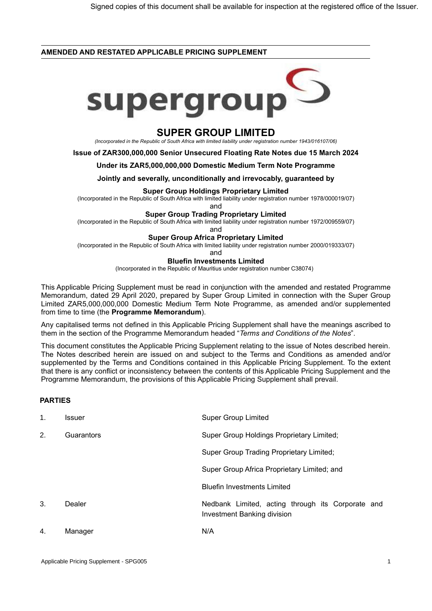### **AMENDED AND RESTATED APPLICABLE PRICING SUPPLEMENT**



# **SUPER GROUP LIMITED**

*(Incorporated in the Republic of South Africa with limited liability under registration number 1943/016107/06)*

**Issue of ZAR300,000,000 Senior Unsecured Floating Rate Notes due 15 March 2024**

#### **Under its ZAR5,000,000,000 Domestic Medium Term Note Programme**

**Jointly and severally, unconditionally and irrevocably, guaranteed by**

#### **Super Group Holdings Proprietary Limited**

(Incorporated in the Republic of South Africa with limited liability under registration number 1978/000019/07)

and

## **Super Group Trading Proprietary Limited**

(Incorporated in the Republic of South Africa with limited liability under registration number 1972/009559/07)

and

#### **Super Group Africa Proprietary Limited**

(Incorporated in the Republic of South Africa with limited liability under registration number 2000/019333/07)

and

## **Bluefin Investments Limited**

(Incorporated in the Republic of Mauritius under registration number C38074)

This Applicable Pricing Supplement must be read in conjunction with the amended and restated Programme Memorandum, dated 29 April 2020, prepared by Super Group Limited in connection with the Super Group Limited ZAR5,000,000,000 Domestic Medium Term Note Programme, as amended and/or supplemented from time to time (the **Programme Memorandum**).

Any capitalised terms not defined in this Applicable Pricing Supplement shall have the meanings ascribed to them in the section of the Programme Memorandum headed "*Terms and Conditions of the Notes*".

This document constitutes the Applicable Pricing Supplement relating to the issue of Notes described herein. The Notes described herein are issued on and subject to the Terms and Conditions as amended and/or supplemented by the Terms and Conditions contained in this Applicable Pricing Supplement. To the extent that there is any conflict or inconsistency between the contents of this Applicable Pricing Supplement and the Programme Memorandum, the provisions of this Applicable Pricing Supplement shall prevail.

## **PARTIES**

| 1. | <b>Issuer</b> | <b>Super Group Limited</b>                                                       |
|----|---------------|----------------------------------------------------------------------------------|
| 2. | Guarantors    | Super Group Holdings Proprietary Limited;                                        |
|    |               | Super Group Trading Proprietary Limited;                                         |
|    |               | Super Group Africa Proprietary Limited; and                                      |
|    |               | <b>Bluefin Investments Limited</b>                                               |
| 3. | Dealer        | Nedbank Limited, acting through its Corporate and<br>Investment Banking division |
| 4. | Manager       | N/A                                                                              |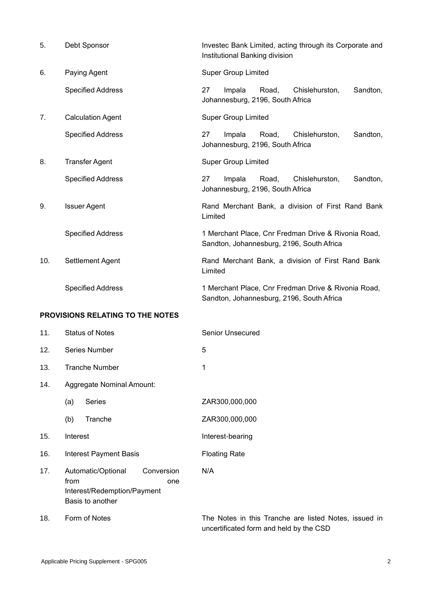| 5.                                      | Debt Sponsor             | Investec Bank Limited, acting through its Corporate and<br>Institutional Banking division        |  |
|-----------------------------------------|--------------------------|--------------------------------------------------------------------------------------------------|--|
| 6.                                      | Paying Agent             | <b>Super Group Limited</b>                                                                       |  |
|                                         | <b>Specified Address</b> | 27<br>Impala<br>Road,<br>Chislehurston,<br>Sandton,<br>Johannesburg, 2196, South Africa          |  |
| 7.                                      | <b>Calculation Agent</b> | <b>Super Group Limited</b>                                                                       |  |
|                                         | <b>Specified Address</b> | 27<br>Impala<br>Road,<br>Chislehurston,<br>Sandton,<br>Johannesburg, 2196, South Africa          |  |
| 8.                                      | <b>Transfer Agent</b>    | <b>Super Group Limited</b>                                                                       |  |
|                                         | <b>Specified Address</b> | 27<br>Sandton,<br>Impala<br>Road,<br>Chislehurston,<br>Johannesburg, 2196, South Africa          |  |
| 9.                                      | <b>Issuer Agent</b>      | Rand Merchant Bank, a division of First Rand Bank<br>Limited                                     |  |
|                                         | <b>Specified Address</b> | 1 Merchant Place, Cnr Fredman Drive & Rivonia Road,<br>Sandton, Johannesburg, 2196, South Africa |  |
| 10.                                     | Settlement Agent         | Rand Merchant Bank, a division of First Rand Bank<br>Limited                                     |  |
|                                         | <b>Specified Address</b> | 1 Merchant Place, Cnr Fredman Drive & Rivonia Road,<br>Sandton, Johannesburg, 2196, South Africa |  |
| <b>PROVISIONS RELATING TO THE NOTES</b> |                          |                                                                                                  |  |
|                                         |                          |                                                                                                  |  |

| 11. | <b>Status of Notes</b>                                                                             | <b>Senior Unsecured</b>                                                                          |
|-----|----------------------------------------------------------------------------------------------------|--------------------------------------------------------------------------------------------------|
| 12. | Series Number                                                                                      | 5                                                                                                |
| 13. | <b>Tranche Number</b>                                                                              | 1                                                                                                |
| 14. | Aggregate Nominal Amount:                                                                          |                                                                                                  |
|     | Series<br>(a)                                                                                      | ZAR300,000,000                                                                                   |
|     | (b)<br>Tranche                                                                                     | ZAR300,000,000                                                                                   |
| 15. | Interest                                                                                           | Interest-bearing                                                                                 |
| 16. | <b>Interest Payment Basis</b>                                                                      | <b>Floating Rate</b>                                                                             |
| 17. | Automatic/Optional<br>Conversion<br>from<br>one<br>Interest/Redemption/Payment<br>Basis to another | N/A                                                                                              |
| 18. | Form of Notes                                                                                      | The Notes in this Tranche are listed Notes, issued in<br>uncertificated form and held by the CSD |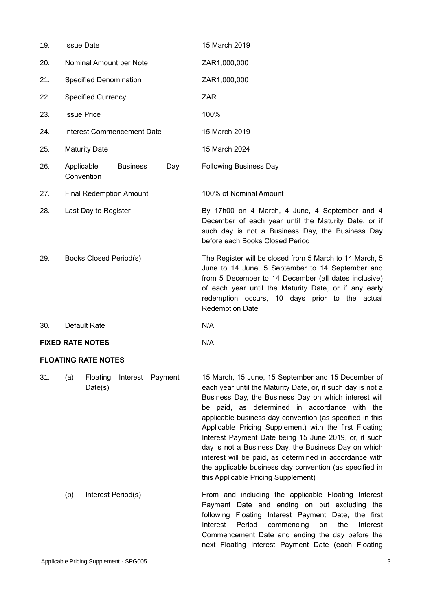| 19.                     | <b>Issue Date</b>              |                 |     | 15 March 2019                                                                                                                                                                                                                                                                                            |
|-------------------------|--------------------------------|-----------------|-----|----------------------------------------------------------------------------------------------------------------------------------------------------------------------------------------------------------------------------------------------------------------------------------------------------------|
| 20.                     | Nominal Amount per Note        |                 |     | ZAR1,000,000                                                                                                                                                                                                                                                                                             |
| 21.                     | <b>Specified Denomination</b>  |                 |     | ZAR1,000,000                                                                                                                                                                                                                                                                                             |
| 22.                     | <b>Specified Currency</b>      |                 |     | <b>ZAR</b>                                                                                                                                                                                                                                                                                               |
| 23.                     | <b>Issue Price</b>             |                 |     | 100%                                                                                                                                                                                                                                                                                                     |
| 24.                     | Interest Commencement Date     |                 |     | 15 March 2019                                                                                                                                                                                                                                                                                            |
| 25.                     | <b>Maturity Date</b>           |                 |     | 15 March 2024                                                                                                                                                                                                                                                                                            |
| 26.                     | Applicable<br>Convention       | <b>Business</b> | Day | <b>Following Business Day</b>                                                                                                                                                                                                                                                                            |
| 27.                     | <b>Final Redemption Amount</b> |                 |     | 100% of Nominal Amount                                                                                                                                                                                                                                                                                   |
| 28.                     | Last Day to Register           |                 |     | By 17h00 on 4 March, 4 June, 4 September and 4<br>December of each year until the Maturity Date, or if<br>such day is not a Business Day, the Business Day<br>before each Books Closed Period                                                                                                            |
| 29.                     | Books Closed Period(s)         |                 |     | The Register will be closed from 5 March to 14 March, 5<br>June to 14 June, 5 September to 14 September and<br>from 5 December to 14 December (all dates inclusive)<br>of each year until the Maturity Date, or if any early<br>redemption occurs, 10 days prior to the actual<br><b>Redemption Date</b> |
| 30.                     | Default Rate                   |                 |     | N/A                                                                                                                                                                                                                                                                                                      |
| <b>FIXED RATE NOTES</b> |                                |                 |     | N/A                                                                                                                                                                                                                                                                                                      |

## **FLOATING RATE NOTES**

| 31. | (a) | Floating           | Interest Payment | 15 March, 15 June, 15 September and 15 December of          |
|-----|-----|--------------------|------------------|-------------------------------------------------------------|
|     |     | Date(s)            |                  | each year until the Maturity Date, or, if such day is not a |
|     |     |                    |                  | Business Day, the Business Day on which interest will       |
|     |     |                    |                  | be paid, as determined in accordance with the               |
|     |     |                    |                  | applicable business day convention (as specified in this    |
|     |     |                    |                  | Applicable Pricing Supplement) with the first Floating      |
|     |     |                    |                  | Interest Payment Date being 15 June 2019, or, if such       |
|     |     |                    |                  | day is not a Business Day, the Business Day on which        |
|     |     |                    |                  | interest will be paid, as determined in accordance with     |
|     |     |                    |                  | the applicable business day convention (as specified in     |
|     |     |                    |                  | this Applicable Pricing Supplement)                         |
|     | (b) | Interest Period(s) |                  | From and including the applicable Floating Interest         |
|     |     |                    |                  | Payment Date and ending on but excluding the                |
|     |     |                    |                  | following Floating Interest Payment Date, the first         |
|     |     |                    |                  | Period<br>commencing<br>the<br>Interest<br>Interest<br>on   |
|     |     |                    |                  | Commencement Date and ending the day before the             |
|     |     |                    |                  | next Floating Interest Payment Date (each Floating          |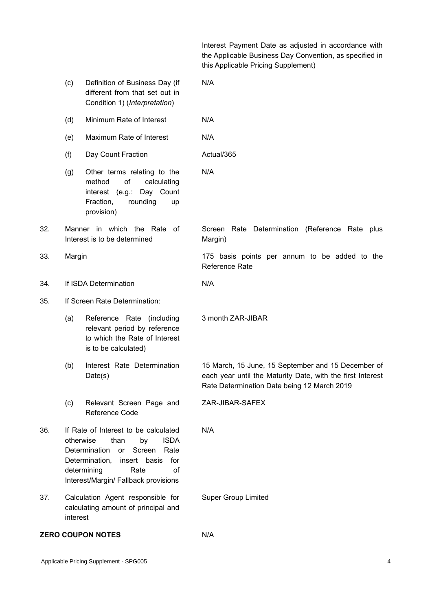Interest Payment Date as adjusted in accordance with the Applicable Business Day Convention, as specified in this Applicable Pricing Supplement)

|     | (c)                                                                                                                                                                                                                                      | Definition of Business Day (if<br>different from that set out in<br>Condition 1) (Interpretation)                                    | N/A                                                                                                                                                             |
|-----|------------------------------------------------------------------------------------------------------------------------------------------------------------------------------------------------------------------------------------------|--------------------------------------------------------------------------------------------------------------------------------------|-----------------------------------------------------------------------------------------------------------------------------------------------------------------|
|     | (d)                                                                                                                                                                                                                                      | Minimum Rate of Interest                                                                                                             | N/A                                                                                                                                                             |
|     | (e)                                                                                                                                                                                                                                      | Maximum Rate of Interest                                                                                                             | N/A                                                                                                                                                             |
|     | (f)                                                                                                                                                                                                                                      | Day Count Fraction                                                                                                                   | Actual/365                                                                                                                                                      |
|     | (g)                                                                                                                                                                                                                                      | Other terms relating to the<br>method<br>of<br>calculating<br>interest (e.g.: Day Count<br>Fraction,<br>rounding<br>up<br>provision) | N/A                                                                                                                                                             |
| 32. |                                                                                                                                                                                                                                          | Manner in which the Rate of<br>Interest is to be determined                                                                          | Screen<br>Rate Determination (Reference Rate plus<br>Margin)                                                                                                    |
| 33. | Margin                                                                                                                                                                                                                                   |                                                                                                                                      | 175 basis points per annum to be added to the<br>Reference Rate                                                                                                 |
| 34. |                                                                                                                                                                                                                                          | If ISDA Determination                                                                                                                | N/A                                                                                                                                                             |
| 35. |                                                                                                                                                                                                                                          | If Screen Rate Determination:                                                                                                        |                                                                                                                                                                 |
|     | (a)                                                                                                                                                                                                                                      | Reference Rate (including<br>relevant period by reference<br>to which the Rate of Interest<br>is to be calculated)                   | 3 month ZAR-JIBAR                                                                                                                                               |
|     | (b)                                                                                                                                                                                                                                      | Interest Rate Determination<br>Date(s)                                                                                               | 15 March, 15 June, 15 September and 15 December of<br>each year until the Maturity Date, with the first Interest<br>Rate Determination Date being 12 March 2019 |
|     | (c)                                                                                                                                                                                                                                      | Relevant Screen Page and<br><b>Reference Code</b>                                                                                    | ZAR-JIBAR-SAFEX                                                                                                                                                 |
| 36. | If Rate of Interest to be calculated<br><b>ISDA</b><br>otherwise<br>than<br>by<br>Determination<br>Screen<br>Rate<br>or<br>Determination,<br>for<br>insert<br>basis<br>determining<br>of<br>Rate<br>Interest/Margin/ Fallback provisions |                                                                                                                                      | N/A                                                                                                                                                             |
| 37. | interest                                                                                                                                                                                                                                 | Calculation Agent responsible for<br>calculating amount of principal and                                                             | <b>Super Group Limited</b>                                                                                                                                      |
|     |                                                                                                                                                                                                                                          | <b>ZERO COUPON NOTES</b>                                                                                                             | N/A                                                                                                                                                             |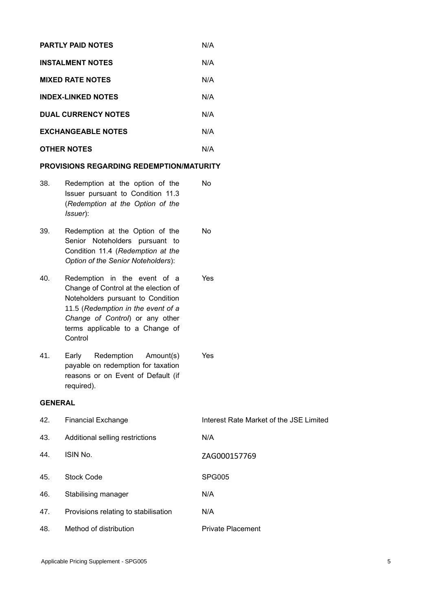| <b>PARTLY PAID NOTES</b>   | N/A |
|----------------------------|-----|
| <b>INSTALMENT NOTES</b>    | N/A |
| <b>MIXED RATE NOTES</b>    | N/A |
| <b>INDEX-LINKED NOTES</b>  | N/A |
| <b>DUAL CURRENCY NOTES</b> | N/A |
| <b>EXCHANGEABLE NOTES</b>  | N/A |
| <b>OTHER NOTES</b>         | N/A |
|                            |     |

## **PROVISIONS REGARDING REDEMPTION/MATURITY**

| 38. | Redemption at the option of the   | No. |
|-----|-----------------------------------|-----|
|     | Issuer pursuant to Condition 11.3 |     |
|     | (Redemption at the Option of the  |     |
|     | <i>Issuer</i> ):                  |     |

39. Redemption at the Option of the Senior Noteholders pursuant to Condition 11.4 (*Redemption at the Option of the Senior Noteholders*): No

40. Redemption in the event of a Change of Control at the election of Noteholders pursuant to Condition 11.5 (*Redemption in the event of a Change of Control*) or any other terms applicable to a Change of **Control** 

41. Early Redemption Amount(s) payable on redemption for taxation reasons or on Event of Default (if required).

## **GENERAL**

| 42. | <b>Financial Exchange</b>            | Interest Rate Market of the JSE Limited |
|-----|--------------------------------------|-----------------------------------------|
| 43. | Additional selling restrictions      | N/A                                     |
| 44. | ISIN No.                             | ZAG000157769                            |
| 45. | <b>Stock Code</b>                    | <b>SPG005</b>                           |
| 46. | Stabilising manager                  | N/A                                     |
| 47. | Provisions relating to stabilisation | N/A                                     |
| 48. | Method of distribution               | <b>Private Placement</b>                |

Yes

Yes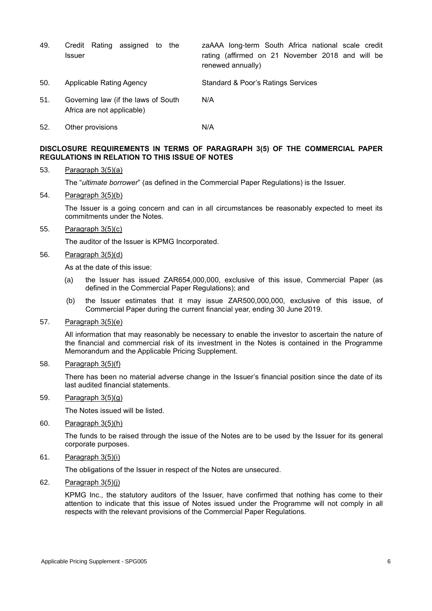| 49. | Credit Rating assigned to the<br><b>Issuer</b>                    | zaAAA long-term South Africa national scale credit<br>rating (affirmed on 21 November 2018 and will be<br>renewed annually) |
|-----|-------------------------------------------------------------------|-----------------------------------------------------------------------------------------------------------------------------|
| 50. | Applicable Rating Agency                                          | Standard & Poor's Ratings Services                                                                                          |
| 51. | Governing law (if the laws of South<br>Africa are not applicable) | N/A                                                                                                                         |

52. Other provisions N/A

## **DISCLOSURE REQUIREMENTS IN TERMS OF PARAGRAPH 3(5) OF THE COMMERCIAL PAPER REGULATIONS IN RELATION TO THIS ISSUE OF NOTES**

#### 53. Paragraph 3(5)(a)

The "*ultimate borrower*" (as defined in the Commercial Paper Regulations) is the Issuer.

#### 54. Paragraph 3(5)(b)

The Issuer is a going concern and can in all circumstances be reasonably expected to meet its commitments under the Notes.

55. Paragraph 3(5)(c)

The auditor of the Issuer is KPMG Incorporated.

#### 56. Paragraph 3(5)(d)

As at the date of this issue:

- (a) the Issuer has issued ZAR654,000,000, exclusive of this issue, Commercial Paper (as defined in the Commercial Paper Regulations); and
- (b) the Issuer estimates that it may issue ZAR500,000,000, exclusive of this issue, of Commercial Paper during the current financial year, ending 30 June 2019.

#### 57. Paragraph 3(5)(e)

All information that may reasonably be necessary to enable the investor to ascertain the nature of the financial and commercial risk of its investment in the Notes is contained in the Programme Memorandum and the Applicable Pricing Supplement.

#### 58. Paragraph 3(5)(f)

There has been no material adverse change in the Issuer's financial position since the date of its last audited financial statements.

### 59. Paragraph 3(5)(g)

The Notes issued will be listed.

#### 60. Paragraph 3(5)(h)

The funds to be raised through the issue of the Notes are to be used by the Issuer for its general corporate purposes.

61. Paragraph 3(5)(i)

The obligations of the Issuer in respect of the Notes are unsecured.

62. Paragraph 3(5)(j)

KPMG Inc., the statutory auditors of the Issuer, have confirmed that nothing has come to their attention to indicate that this issue of Notes issued under the Programme will not comply in all respects with the relevant provisions of the Commercial Paper Regulations.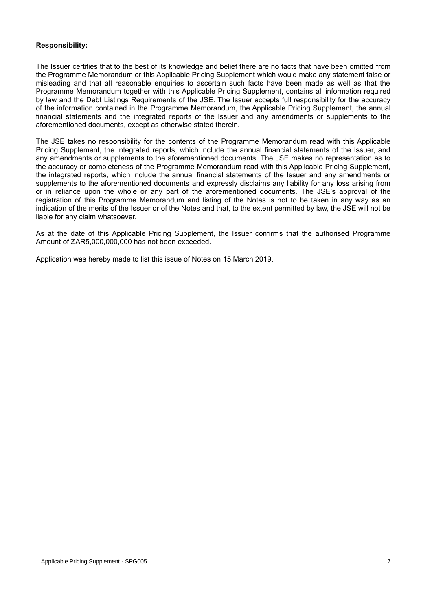## **Responsibility:**

The Issuer certifies that to the best of its knowledge and belief there are no facts that have been omitted from the Programme Memorandum or this Applicable Pricing Supplement which would make any statement false or misleading and that all reasonable enquiries to ascertain such facts have been made as well as that the Programme Memorandum together with this Applicable Pricing Supplement, contains all information required by law and the Debt Listings Requirements of the JSE. The Issuer accepts full responsibility for the accuracy of the information contained in the Programme Memorandum, the Applicable Pricing Supplement, the annual financial statements and the integrated reports of the Issuer and any amendments or supplements to the aforementioned documents, except as otherwise stated therein.

The JSE takes no responsibility for the contents of the Programme Memorandum read with this Applicable Pricing Supplement, the integrated reports, which include the annual financial statements of the Issuer, and any amendments or supplements to the aforementioned documents. The JSE makes no representation as to the accuracy or completeness of the Programme Memorandum read with this Applicable Pricing Supplement, the integrated reports, which include the annual financial statements of the Issuer and any amendments or supplements to the aforementioned documents and expressly disclaims any liability for any loss arising from or in reliance upon the whole or any part of the aforementioned documents. The JSE's approval of the registration of this Programme Memorandum and listing of the Notes is not to be taken in any way as an indication of the merits of the Issuer or of the Notes and that, to the extent permitted by law, the JSE will not be liable for any claim whatsoever.

As at the date of this Applicable Pricing Supplement, the Issuer confirms that the authorised Programme Amount of ZAR5,000,000,000 has not been exceeded.

Application was hereby made to list this issue of Notes on 15 March 2019.